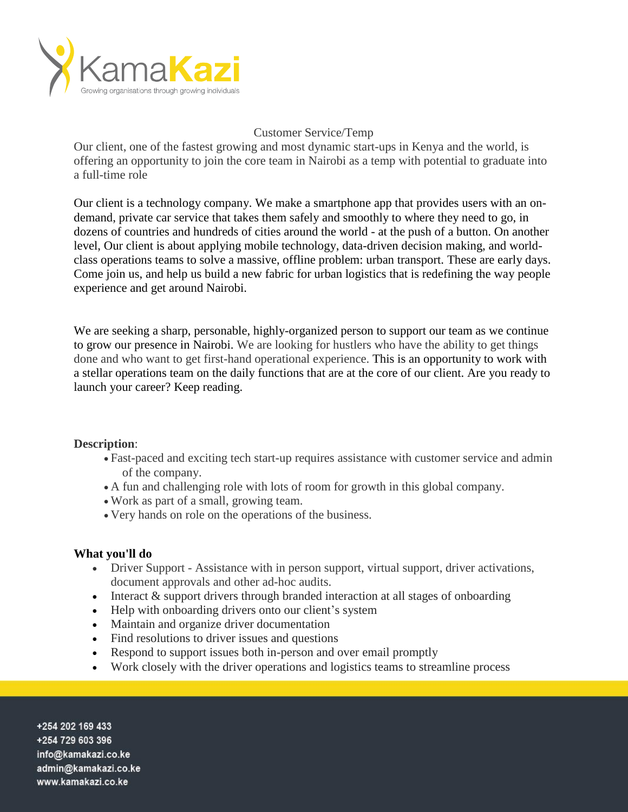

# Customer Service/Temp

Our client, one of the fastest growing and most dynamic start-ups in Kenya and the world, is offering an opportunity to join the core team in Nairobi as a temp with potential to graduate into a full-time role

Our client is a technology company. We make a smartphone app that provides users with an ondemand, private car service that takes them safely and smoothly to where they need to go, in dozens of countries and hundreds of cities around the world - at the push of a button. On another level, Our client is about applying mobile technology, data-driven decision making, and worldclass operations teams to solve a massive, offline problem: urban transport. These are early days. Come join us, and help us build a new fabric for urban logistics that is redefining the way people experience and get around Nairobi.

We are seeking a sharp, personable, highly-organized person to support our team as we continue to grow our presence in Nairobi. We are looking for hustlers who have the ability to get things done and who want to get first-hand operational experience. This is an opportunity to work with a stellar operations team on the daily functions that are at the core of our client. Are you ready to launch your career? Keep reading.

## **Description**:

- Fast-paced and exciting tech start-up requires assistance with customer service and admin of the company.
- A fun and challenging role with lots of room for growth in this global company.
- Work as part of a small, growing team.
- Very hands on role on the operations of the business.

## **What you'll do**

- Driver Support Assistance with in person support, virtual support, driver activations, document approvals and other ad-hoc audits.
- Interact & support drivers through branded interaction at all stages of onboarding
- Help with onboarding drivers onto our client's system
- Maintain and organize driver documentation
- Find resolutions to driver issues and questions
- Respond to support issues both in-person and over email promptly
- Work closely with the driver operations and logistics teams to streamline process

+254 202 169 433 +254 729 603 396 info@kamakazi.co.ke admin@kamakazi.co.ke www.kamakazi.co.ke